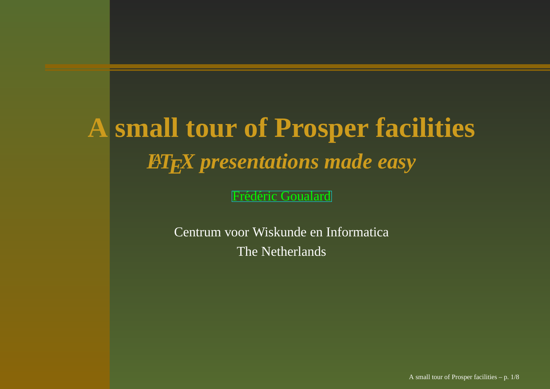# **A small tour of Prosper facilities** *LATEX presentations made easy*

Frédéric [Goua](http://prosper.sourceforge.net/)lard

Centrum voor Wiskunde en Informatica The Netherlands

A small tour of Prosper facilities – p. 1/8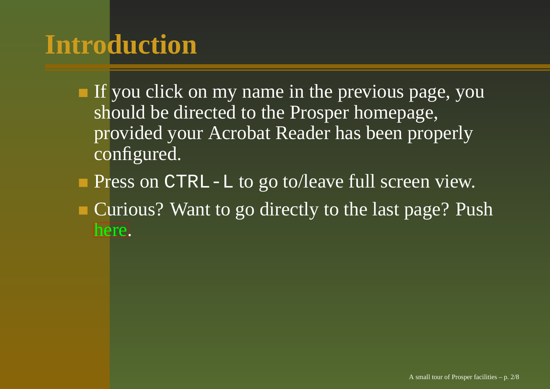# **Introduction**

- If you click on my name in the previous page, you should be directed to the Prosper homepage, provided your Acrobat Reader has been properly configured.
- Press on CTRL-L to go to/leave full screen view.
- <span id="page-1-0"></span>Curious? Want to go directly to the last page? Push [he](#page-18-0)re.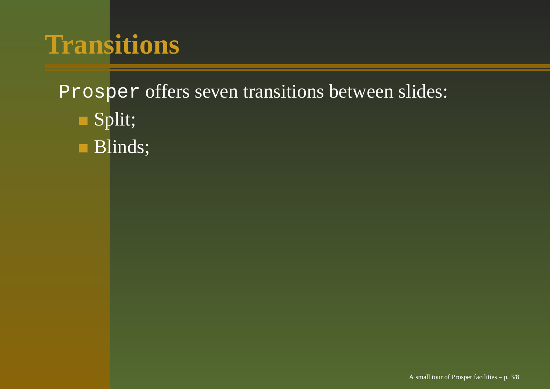- Split;
- **Blinds**;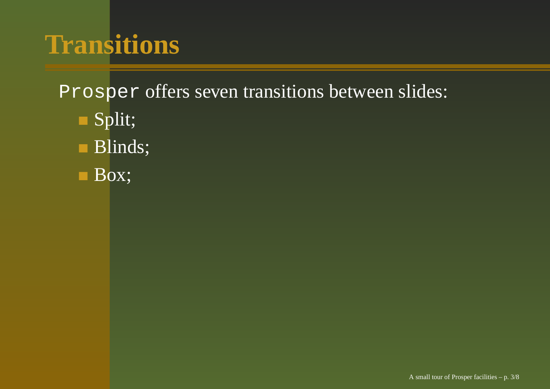- Split;
- **Blinds**;
- **Box**;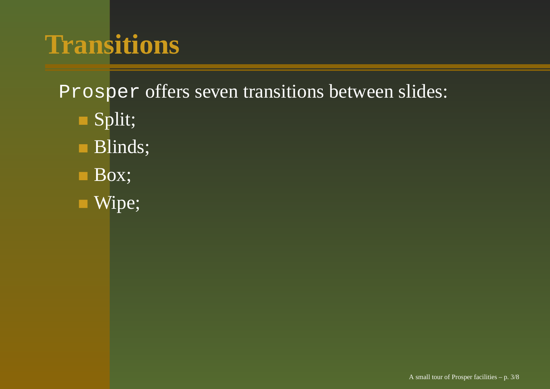- Split;
- **Blinds**;
- **Box**;
- Wipe;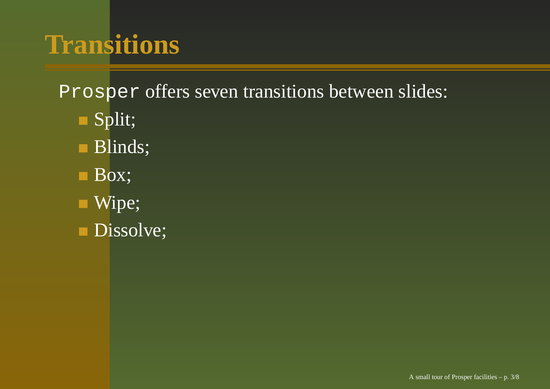- Split;
- **Blinds**;
- **Box**;
- Wipe;
- Dissolve;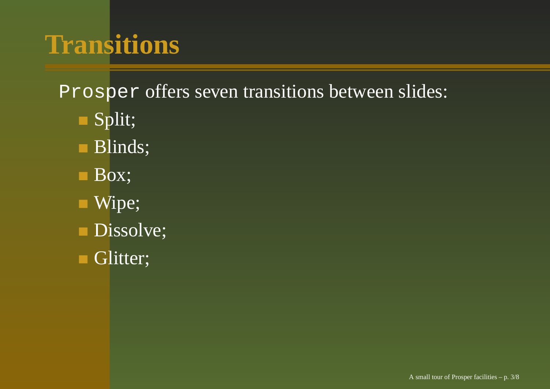- Split;
- **Blinds**;
- **Box**;
- Wipe;
- Dissolve;
- Glitter;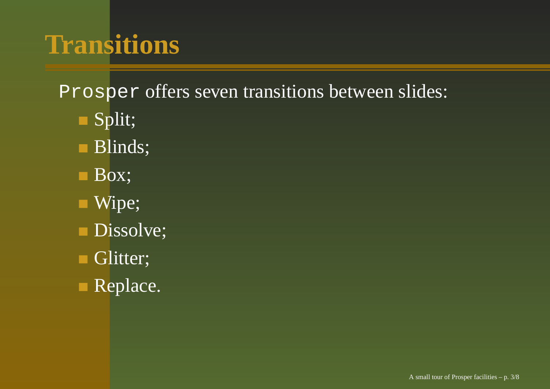- Split;
- Blinds;
- **Box**;
- Wipe;
- Dissolve;
- Glitter;
- Replace.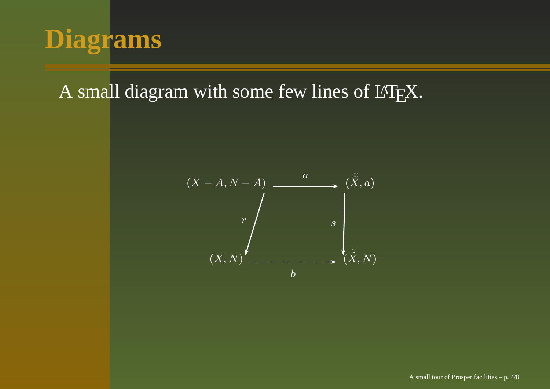

#### A small diagram with some few lines of  $\rm \mathbb{F}EX.$

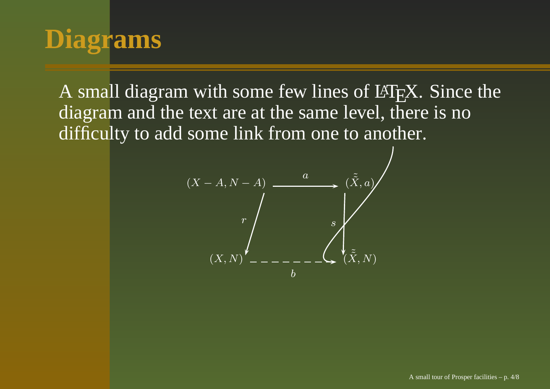# **Diagrams**

A small diagram with some few lines of  $\mathbb{F}^1_{\rm E}$ X. Since the diagram and the text are at the same level, there is no difficulty to add some link from one to another.

$$
(X - A, N - A)
$$
\n
$$
r
$$
\n
$$
(X, N)
$$
\n
$$
- - - - - - \sum_{b} \left(\tilde{\tilde{X}}, a\right)
$$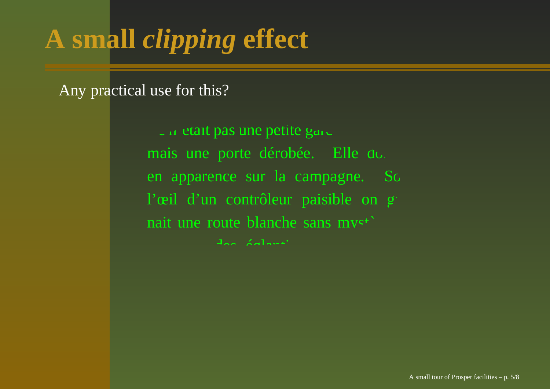# **A small** *clipping* **effect**

Any practical use for this?

 $\Box$  in etait pas une petite gare de province,  $\Box$ mais une porte dérobée. Elle donnais en apparence sur la campagne. Sc l'œil d'un contrôleur paisible on g nait une route blanche sans mys<sup>\*</sup> ruisseau, des églantines. Le chef de la chef de la chef de la chef de la chef de la chef de la chef de la chef<br>Le chef de la chef de la chef de la chef de la chef de la chef de la chef de la chef de la chef de la chef de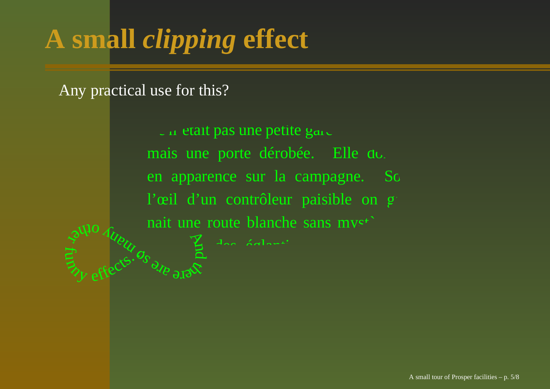# **A small** *clipping* **effect**

Any practical use for this?

 $\Box$  in etait pas une petite gare de province,  $\Box$ mais une porte dérobée. Elle donnais en apparence sur la campagne. Sc l'œil d'un contrôleur paisible on g nait une route blanche sans mys<sup>\*</sup>  $\sigma_{\rm Mp}$  solg $\alpha_{\rm Mp}$ And pullo Aueuros E effects. 9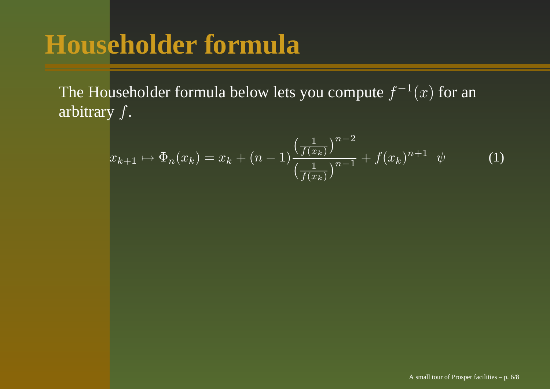### **Householder formula**

The Householder formula below lets you compute  $f^{-1}(x)$  for an arbitrary f.

$$
x_{k+1} \mapsto \Phi_n(x_k) = x_k + (n-1) \frac{\left(\frac{1}{f(x_k)}\right)^{n-2}}{\left(\frac{1}{f(x_k)}\right)^{n-1}} + f(x_k)^{n+1} \psi \tag{1}
$$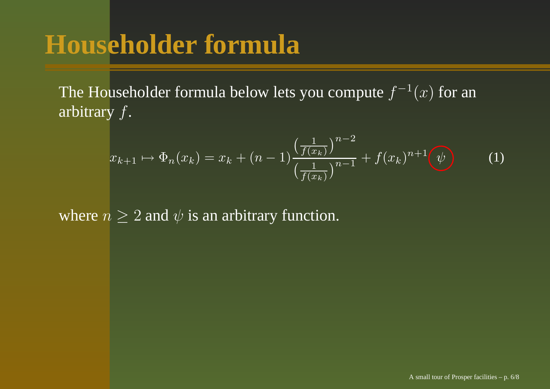### **Householder formula**

The Householder formula below lets you compute  $f^{-1}(x)$  for an arbitrary f.

$$
x_{k+1} \mapsto \Phi_n(x_k) = x_k + (n-1) \frac{\left(\frac{1}{f(x_k)}\right)^{n-2}}{\left(\frac{1}{f(x_k)}\right)^{n-1}} + f(x_k)^{n+1} \psi \tag{1}
$$

where  $n \geq 2$  and  $\psi$  is an arbitrary function.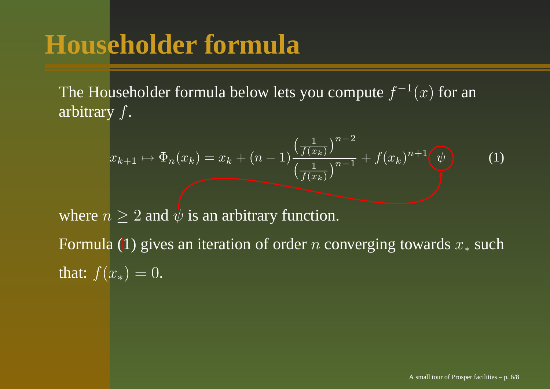### **Householder formula**

The Householder formula below lets you compute  $f^{-1}(x)$  for an arbitrary f.

$$
x_{k+1} \mapsto \Phi_n(x_k) = x_k + (n-1) \frac{\left(\frac{1}{f(x_k)}\right)^{n-2}}{\left(\frac{1}{f(x_k)}\right)^{n-1}} + f(x_k)^{n+1} \psi \tag{1}
$$

where  $n \geq 2$  and  $\psi$  is an arbitrary function.

<span id="page-15-0"></span>Form[ula](#page-15-0) (1) gives an iteration of order *n* converging towards  $x_*$  such that:  $f(x_*)=0.$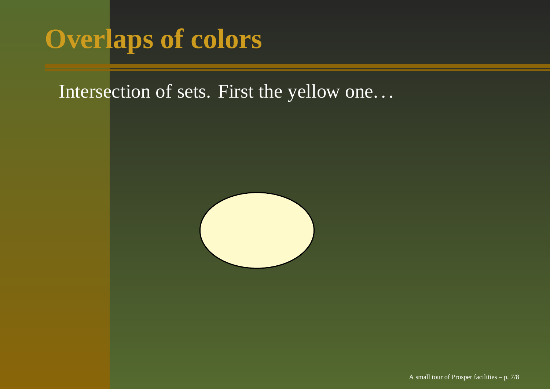### **Overlaps of colors**

Intersection of sets. First the yellow one. . .

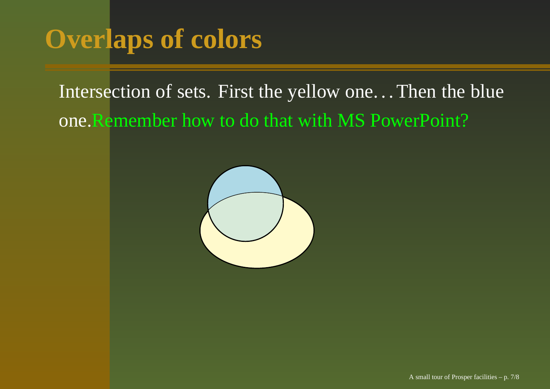## **Overlaps of colors**

Intersection of sets. First the yellow one. . .Then the blue one.Remember how to do that with MS PowerPoint?